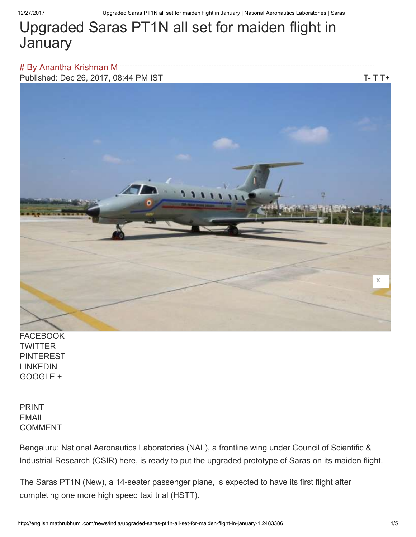# Upgraded Saras PT1N all set for maiden flight in **January**

# By Anantha Krishnan M Published: Dec 26, 2017, 08:44 PM IS[T](javascript:void(0)) TEXAS AND THE TO THE TEXAS TO THE TEXAS THE TEXAS TO THE THE TEXAS OF TH



FACEBOOK **TWITTER** PINTEREST LINKEDIN GOOGLE +

PRINT EMAIL COMMENT

Bengaluru: National Aeronautics Laboratories (NAL), a frontline wing under Council of Scientific & Industrial Research (CSIR) here, is ready to put the upgraded prototype of Saras on its maiden flight.

The Saras PT1N (New), a 14-seater passenger plane, is expected to have its first flight after completing one more high speed taxi trial (HSTT).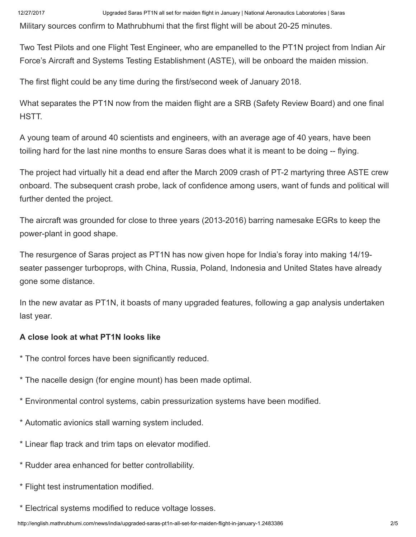Military sources confirm to Mathrubhumi that the first flight will be about 20-25 minutes.

Two Test Pilots and one Flight Test Engineer, who are empanelled to the PT1N project from Indian Air Force's Aircraft and Systems Testing Establishment (ASTE), will be onboard the maiden mission.

The first flight could be any time during the first/second week of January 2018.

What separates the PT1N now from the maiden flight are a SRB (Safety Review Board) and one final HSTT.

A young team of around 40 scientists and engineers, with an average age of 40 years, have been toiling hard for the last nine months to ensure Saras does what it is meant to be doing -- flying.

The project had virtually hit a dead end after the March 2009 crash of PT-2 martyring three ASTE crew onboard. The subsequent crash probe, lack of confidence among users, want of funds and political will further dented the project.

The aircraft was grounded for close to three years (2013-2016) barring namesake EGRs to keep the power-plant in good shape.

The resurgence of Saras project as PT1N has now given hope for India's foray into making 14/19 seater passenger turboprops, with China, Russia, Poland, Indonesia and United States have already gone some distance.

In the new avatar as PT1N, it boasts of many upgraded features, following a gap analysis undertaken last year.

## A close look at what PT1N looks like

- \* The control forces have been significantly reduced.
- \* The nacelle design (for engine mount) has been made optimal.
- \* Environmental control systems, cabin pressurization systems have been modified.
- \* Automatic avionics stall warning system included.
- \* Linear flap track and trim taps on elevator modified.
- \* Rudder area enhanced for better controllability.
- \* Flight test instrumentation modified.
- \* Electrical systems modified to reduce voltage losses.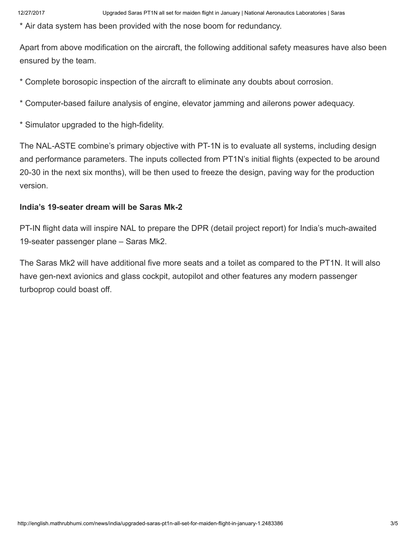\* Air data system has been provided with the nose boom for redundancy.

Apart from above modification on the aircraft, the following additional safety measures have also been ensured by the team.

\* Complete borosopic inspection of the aircraft to eliminate any doubts about corrosion.

\* Computer-based failure analysis of engine, elevator jamming and ailerons power adequacy.

\* Simulator upgraded to the high-fidelity.

The NAL-ASTE combine's primary objective with PT-1N is to evaluate all systems, including design and performance parameters. The inputs collected from PT1N's initial flights (expected to be around 20-30 in the next six months), will be then used to freeze the design, paving way for the production version.

### India's 19-seater dream will be Saras Mk-2

PT-IN flight data will inspire NAL to prepare the DPR (detail project report) for India's much-awaited 19-seater passenger plane – Saras Mk2.

The Saras Mk2 will have additional five more seats and a toilet as compared to the PT1N. It will also have gen-next avionics and glass cockpit, autopilot and other features any modern passenger turboprop could boast off.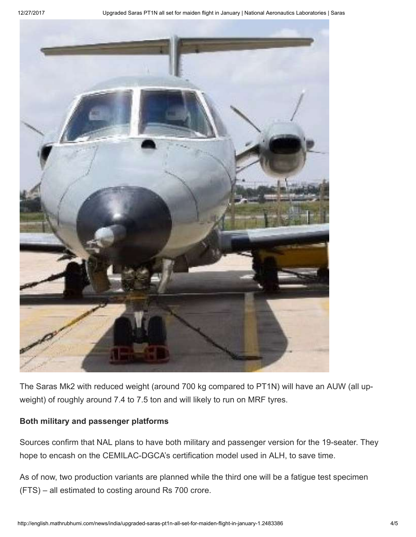

The Saras Mk2 with reduced weight (around 700 kg compared to PT1N) will have an AUW (all upweight) of roughly around 7.4 to 7.5 ton and will likely to run on MRF tyres.

#### Both military and passenger platforms

Sources confirm that NAL plans to have both military and passenger version for the 19-seater. They hope to encash on the CEMILAC-DGCA's certification model used in ALH, to save time.

As of now, two production variants are planned while the third one will be a fatigue test specimen (FTS) – all estimated to costing around Rs 700 crore.